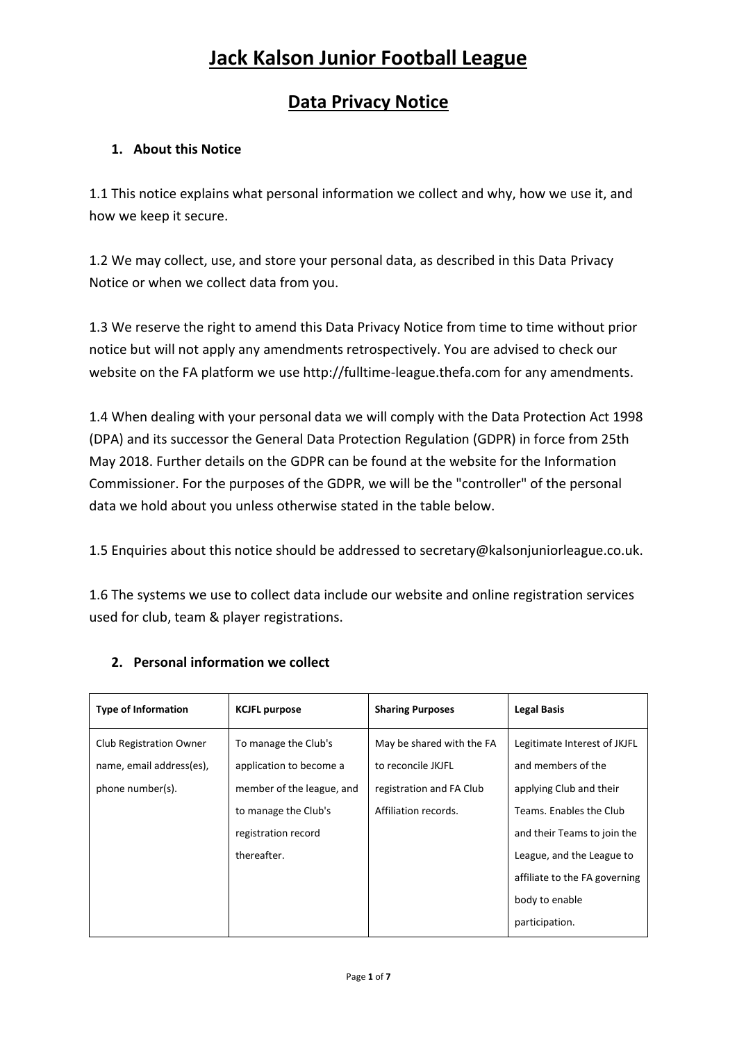### **Data Privacy Notice**

### **1. About this Notice**

1.1 This notice explains what personal information we collect and why, how we use it, and how we keep it secure.

1.2 We may collect, use, and store your personal data, as described in this Data Privacy Notice or when we collect data from you.

1.3 We reserve the right to amend this Data Privacy Notice from time to time without prior notice but will not apply any amendments retrospectively. You are advised to check our website on the FA platform we use http://fulltime-league.thefa.com for any amendments.

1.4 When dealing with your personal data we will comply with the Data Protection Act 1998 (DPA) and its successor the General Data Protection Regulation (GDPR) in force from 25th May 2018. Further details on the GDPR can be found at the website for the Information Commissioner. For the purposes of the GDPR, we will be the "controller" of the personal data we hold about you unless otherwise stated in the table below.

1.5 Enquiries about this notice should be addressed to secretary@kalsonjuniorleague.co.uk.

1.6 The systems we use to collect data include our website and online registration services used for club, team & player registrations.

| <b>Type of Information</b>                                              | <b>KCJFL purpose</b>                                                                                                                       | <b>Sharing Purposes</b>                                                                             | <b>Legal Basis</b>                                                                                                                                                                                    |
|-------------------------------------------------------------------------|--------------------------------------------------------------------------------------------------------------------------------------------|-----------------------------------------------------------------------------------------------------|-------------------------------------------------------------------------------------------------------------------------------------------------------------------------------------------------------|
| Club Registration Owner<br>name, email address(es),<br>phone number(s). | To manage the Club's<br>application to become a<br>member of the league, and<br>to manage the Club's<br>registration record<br>thereafter. | May be shared with the FA<br>to reconcile JKJFL<br>registration and FA Club<br>Affiliation records. | Legitimate Interest of JKJFL<br>and members of the<br>applying Club and their<br>Teams. Enables the Club<br>and their Teams to join the<br>League, and the League to<br>affiliate to the FA governing |
|                                                                         |                                                                                                                                            |                                                                                                     | body to enable<br>participation.                                                                                                                                                                      |

### **2. Personal information we collect**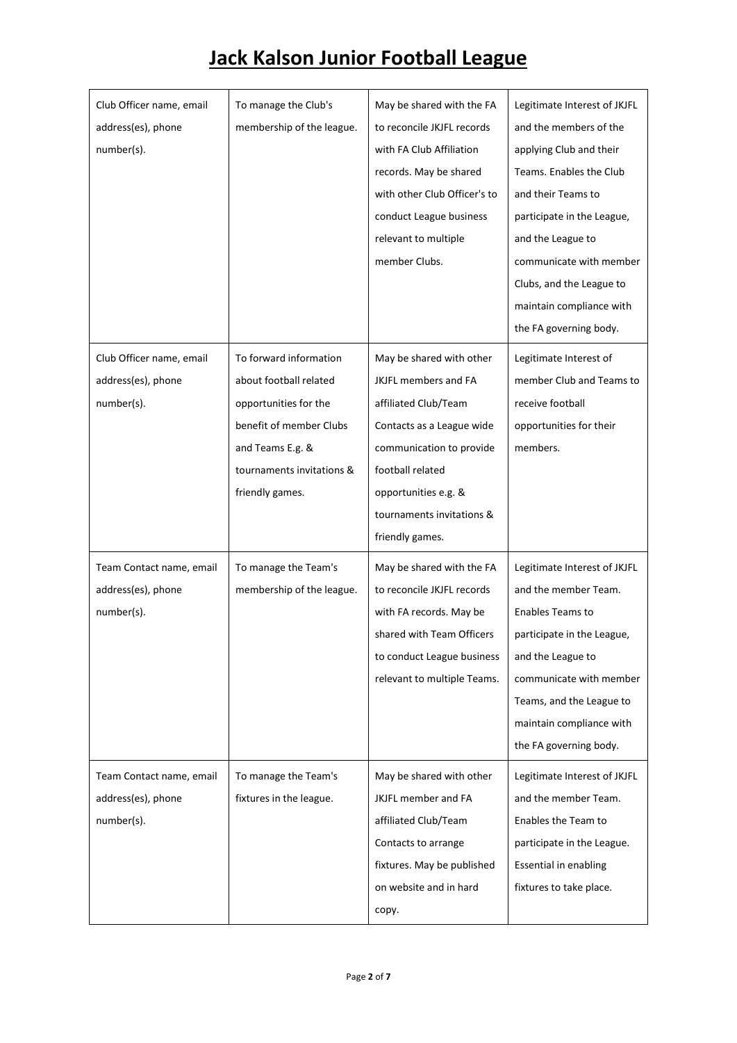| Club Officer name, email<br>address(es), phone<br>number(s). | To manage the Club's<br>membership of the league.                                                                                                                        | May be shared with the FA<br>to reconcile JKJFL records<br>with FA Club Affiliation<br>records. May be shared<br>with other Club Officer's to<br>conduct League business<br>relevant to multiple<br>member Clubs.             | Legitimate Interest of JKJFL<br>and the members of the<br>applying Club and their<br>Teams. Enables the Club<br>and their Teams to<br>participate in the League,<br>and the League to<br>communicate with member<br>Clubs, and the League to<br>maintain compliance with<br>the FA governing body. |
|--------------------------------------------------------------|--------------------------------------------------------------------------------------------------------------------------------------------------------------------------|-------------------------------------------------------------------------------------------------------------------------------------------------------------------------------------------------------------------------------|----------------------------------------------------------------------------------------------------------------------------------------------------------------------------------------------------------------------------------------------------------------------------------------------------|
| Club Officer name, email<br>address(es), phone<br>number(s). | To forward information<br>about football related<br>opportunities for the<br>benefit of member Clubs<br>and Teams E.g. &<br>tournaments invitations &<br>friendly games. | May be shared with other<br>JKJFL members and FA<br>affiliated Club/Team<br>Contacts as a League wide<br>communication to provide<br>football related<br>opportunities e.g. &<br>tournaments invitations &<br>friendly games. | Legitimate Interest of<br>member Club and Teams to<br>receive football<br>opportunities for their<br>members.                                                                                                                                                                                      |
| Team Contact name, email<br>address(es), phone<br>number(s). | To manage the Team's<br>membership of the league.                                                                                                                        | May be shared with the FA<br>to reconcile JKJFL records<br>with FA records. May be<br>shared with Team Officers<br>to conduct League business<br>relevant to multiple Teams.                                                  | Legitimate Interest of JKJFL<br>and the member Team.<br><b>Enables Teams to</b><br>participate in the League,<br>and the League to<br>communicate with member<br>Teams, and the League to<br>maintain compliance with<br>the FA governing body.                                                    |
| Team Contact name, email<br>address(es), phone<br>number(s). | To manage the Team's<br>fixtures in the league.                                                                                                                          | May be shared with other<br>JKJFL member and FA<br>affiliated Club/Team<br>Contacts to arrange<br>fixtures. May be published<br>on website and in hard<br>copy.                                                               | Legitimate Interest of JKJFL<br>and the member Team.<br>Enables the Team to<br>participate in the League.<br>Essential in enabling<br>fixtures to take place.                                                                                                                                      |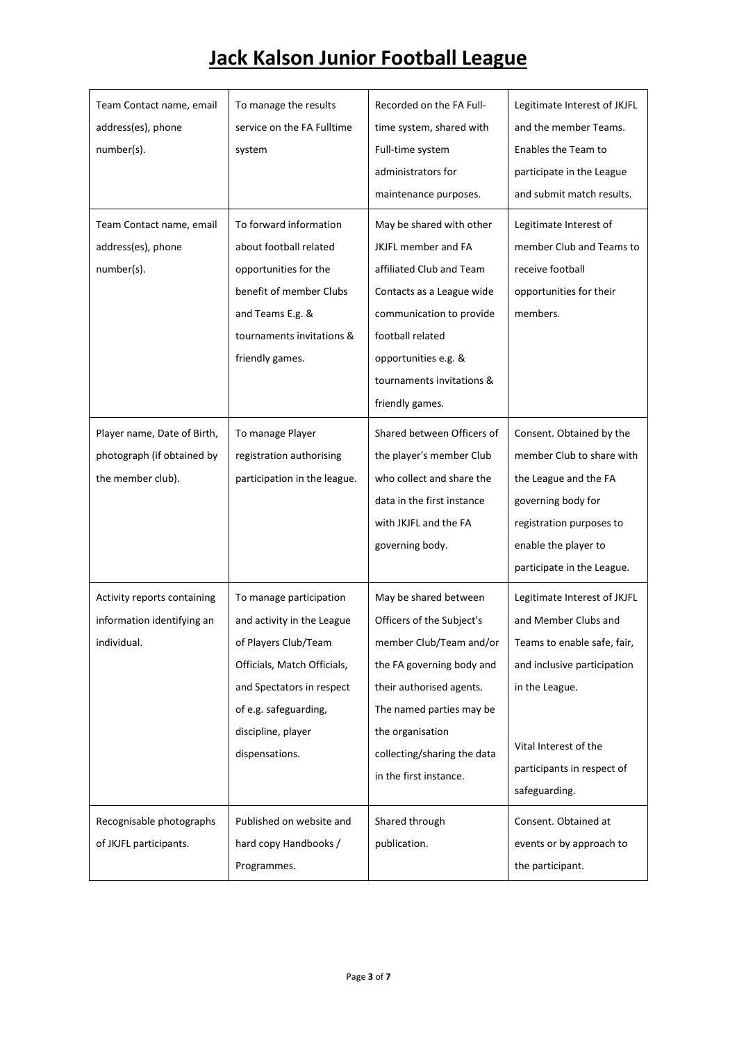| Team Contact name, email<br>address(es), phone<br>number(s).<br>Team Contact name, email<br>address(es), phone | To manage the results<br>service on the FA Fulltime<br>system<br>To forward information<br>about football related                                                                                          | Recorded on the FA Full-<br>time system, shared with<br>Full-time system<br>administrators for<br>maintenance purposes.<br>May be shared with other<br>JKJFL member and FA                                                                      | Legitimate Interest of JKJFL<br>and the member Teams.<br>Enables the Team to<br>participate in the League<br>and submit match results.<br>Legitimate Interest of<br>member Club and Teams to                 |
|----------------------------------------------------------------------------------------------------------------|------------------------------------------------------------------------------------------------------------------------------------------------------------------------------------------------------------|-------------------------------------------------------------------------------------------------------------------------------------------------------------------------------------------------------------------------------------------------|--------------------------------------------------------------------------------------------------------------------------------------------------------------------------------------------------------------|
| number(s).                                                                                                     | opportunities for the<br>benefit of member Clubs<br>and Teams E.g. &<br>tournaments invitations &<br>friendly games.                                                                                       | affiliated Club and Team<br>Contacts as a League wide<br>communication to provide<br>football related<br>opportunities e.g. &<br>tournaments invitations &<br>friendly games.                                                                   | receive football<br>opportunities for their<br>members.                                                                                                                                                      |
| Player name, Date of Birth,<br>photograph (if obtained by<br>the member club).                                 | To manage Player<br>registration authorising<br>participation in the league.                                                                                                                               | Shared between Officers of<br>the player's member Club<br>who collect and share the<br>data in the first instance<br>with JKJFL and the FA<br>governing body.                                                                                   | Consent. Obtained by the<br>member Club to share with<br>the League and the FA<br>governing body for<br>registration purposes to<br>enable the player to<br>participate in the League.                       |
| Activity reports containing<br>information identifying an<br>individual.                                       | To manage participation<br>and activity in the League<br>of Players Club/Team<br>Officials, Match Officials,<br>and Spectators in respect<br>of e.g. safeguarding,<br>discipline, player<br>dispensations. | May be shared between<br>Officers of the Subject's<br>member Club/Team and/or<br>the FA governing body and<br>their authorised agents.<br>The named parties may be<br>the organisation<br>collecting/sharing the data<br>in the first instance. | Legitimate Interest of JKJFL<br>and Member Clubs and<br>Teams to enable safe, fair,<br>and inclusive participation<br>in the League.<br>Vital Interest of the<br>participants in respect of<br>safeguarding. |
| Recognisable photographs<br>of JKJFL participants.                                                             | Published on website and<br>hard copy Handbooks /<br>Programmes.                                                                                                                                           | Shared through<br>publication.                                                                                                                                                                                                                  | Consent. Obtained at<br>events or by approach to<br>the participant.                                                                                                                                         |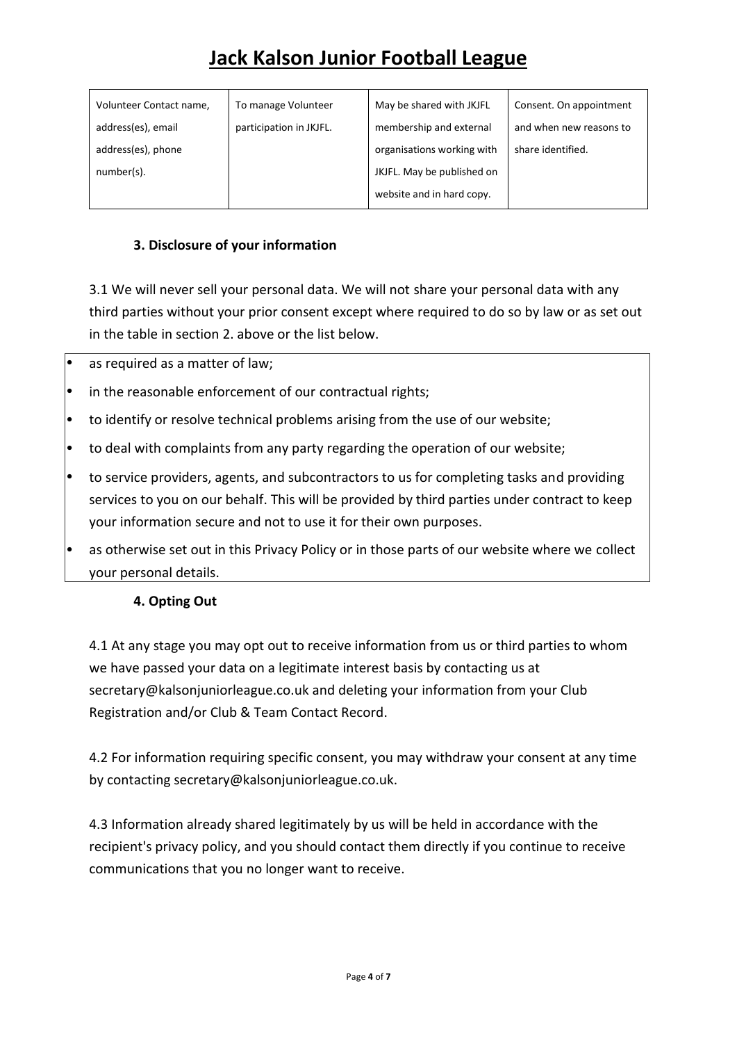| Volunteer Contact name, | To manage Volunteer     | May be shared with JKJFL   | Consent. On appointment |
|-------------------------|-------------------------|----------------------------|-------------------------|
| address(es), email      | participation in JKJFL. | membership and external    | and when new reasons to |
| address(es), phone      |                         | organisations working with | share identified.       |
| number(s).              |                         | JKJFL. May be published on |                         |
|                         |                         | website and in hard copy.  |                         |

#### **3. Disclosure of your information**

3.1 We will never sell your personal data. We will not share your personal data with any third parties without your prior consent except where required to do so by law or as set out in the table in section 2. above or the list below.

- as required as a matter of law;
- in the reasonable enforcement of our contractual rights;
- to identify or resolve technical problems arising from the use of our website;
- to deal with complaints from any party regarding the operation of our website;
- to service providers, agents, and subcontractors to us for completing tasks and providing services to you on our behalf. This will be provided by third parties under contract to keep your information secure and not to use it for their own purposes.
- as otherwise set out in this Privacy Policy or in those parts of our website where we collect your personal details.

#### **4. Opting Out**

4.1 At any stage you may opt out to receive information from us or third parties to whom we have passed your data on a legitimate interest basis by contacting us at secretary@kalsonjuniorleague.co.uk and deleting your information from your Club Registration and/or Club & Team Contact Record.

4.2 For information requiring specific consent, you may withdraw your consent at any time by contacting secretary@kalsonjuniorleague.co.uk.

4.3 Information already shared legitimately by us will be held in accordance with the recipient's privacy policy, and you should contact them directly if you continue to receive communications that you no longer want to receive.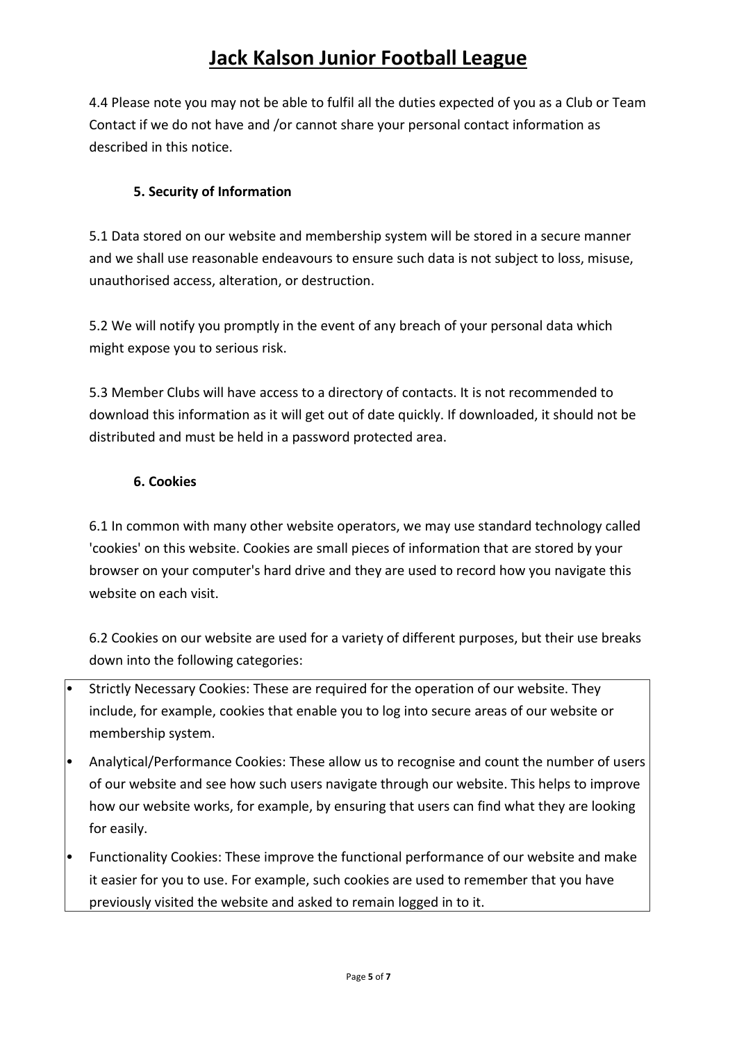4.4 Please note you may not be able to fulfil all the duties expected of you as a Club or Team Contact if we do not have and /or cannot share your personal contact information as described in this notice.

### **5. Security of Information**

5.1 Data stored on our website and membership system will be stored in a secure manner and we shall use reasonable endeavours to ensure such data is not subject to loss, misuse, unauthorised access, alteration, or destruction.

5.2 We will notify you promptly in the event of any breach of your personal data which might expose you to serious risk.

5.3 Member Clubs will have access to a directory of contacts. It is not recommended to download this information as it will get out of date quickly. If downloaded, it should not be distributed and must be held in a password protected area.

### **6. Cookies**

6.1 In common with many other website operators, we may use standard technology called 'cookies' on this website. Cookies are small pieces of information that are stored by your browser on your computer's hard drive and they are used to record how you navigate this website on each visit.

6.2 Cookies on our website are used for a variety of different purposes, but their use breaks down into the following categories:

- Strictly Necessary Cookies: These are required for the operation of our website. They include, for example, cookies that enable you to log into secure areas of our website or membership system.
- Analytical/Performance Cookies: These allow us to recognise and count the number of users of our website and see how such users navigate through our website. This helps to improve how our website works, for example, by ensuring that users can find what they are looking for easily.
- Functionality Cookies: These improve the functional performance of our website and make it easier for you to use. For example, such cookies are used to remember that you have previously visited the website and asked to remain logged in to it.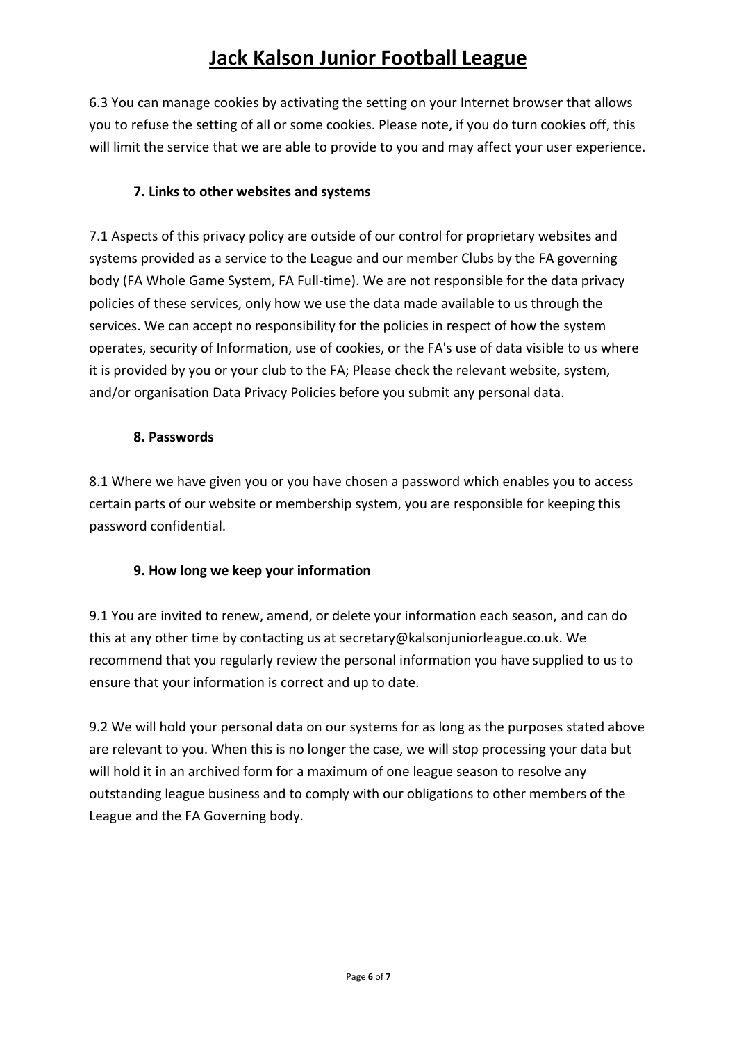6.3 You can manage cookies by activating the setting on your Internet browser that allows you to refuse the setting of all or some cookies. Please note, if you do turn cookies off, this will limit the service that we are able to provide to you and may affect your user experience.

#### **7. Links to other websites and systems**

7.1 Aspects of this privacy policy are outside of our control for proprietary websites and systems provided as a service to the League and our member Clubs by the FA governing body (FA Whole Game System, FA Full-time). We are not responsible for the data privacy policies of these services, only how we use the data made available to us through the services. We can accept no responsibility for the policies in respect of how the system operates, security of Information, use of cookies, or the FA's use of data visible to us where it is provided by you or your club to the FA; Please check the relevant website, system, and/or organisation Data Privacy Policies before you submit any personal data.

#### **8. Passwords**

8.1 Where we have given you or you have chosen a password which enables you to access certain parts of our website or membership system, you are responsible for keeping this password confidential.

### **9. How long we keep your information**

9.1 You are invited to renew, amend, or delete your information each season, and can do this at any other time by contacting us at secretary@kalsonjuniorleague.co.uk. We recommend that you regularly review the personal information you have supplied to us to ensure that your information is correct and up to date.

9.2 We will hold your personal data on our systems for as long as the purposes stated above are relevant to you. When this is no longer the case, we will stop processing your data but will hold it in an archived form for a maximum of one league season to resolve any outstanding league business and to comply with our obligations to other members of the League and the FA Governing body.